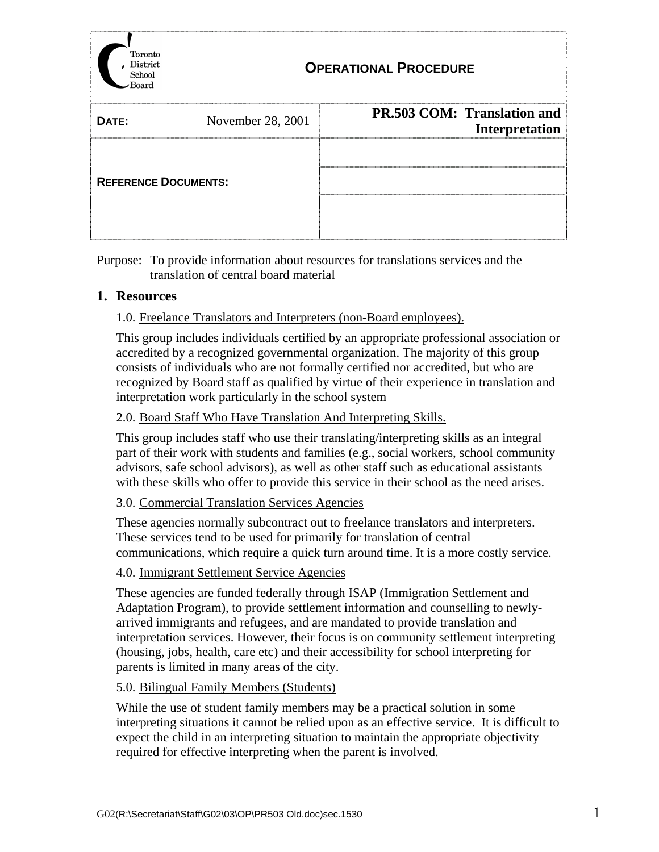

Purpose: To provide information about resources for translations services and the translation of central board material

### **1. Resources**

### 1.0. Freelance Translators and Interpreters (non-Board employees).

This group includes individuals certified by an appropriate professional association or accredited by a recognized governmental organization. The majority of this group consists of individuals who are not formally certified nor accredited, but who are recognized by Board staff as qualified by virtue of their experience in translation and interpretation work particularly in the school system

### 2.0. Board Staff Who Have Translation And Interpreting Skills.

This group includes staff who use their translating/interpreting skills as an integral part of their work with students and families (e.g., social workers, school community advisors, safe school advisors), as well as other staff such as educational assistants with these skills who offer to provide this service in their school as the need arises.

### 3.0. Commercial Translation Services Agencies

These agencies normally subcontract out to freelance translators and interpreters. These services tend to be used for primarily for translation of central communications, which require a quick turn around time. It is a more costly service.

### 4.0. Immigrant Settlement Service Agencies

These agencies are funded federally through ISAP (Immigration Settlement and Adaptation Program), to provide settlement information and counselling to newlyarrived immigrants and refugees, and are mandated to provide translation and interpretation services. However, their focus is on community settlement interpreting (housing, jobs, health, care etc) and their accessibility for school interpreting for parents is limited in many areas of the city.

### 5.0. Bilingual Family Members (Students)

While the use of student family members may be a practical solution in some interpreting situations it cannot be relied upon as an effective service. It is difficult to expect the child in an interpreting situation to maintain the appropriate objectivity required for effective interpreting when the parent is involved.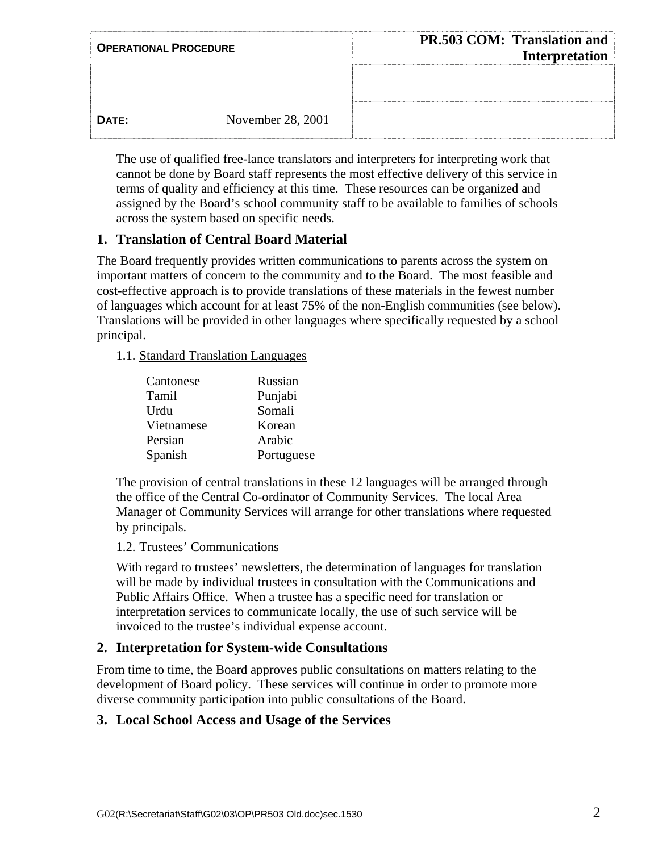| <b>OPERATIONAL PROCEDURE</b> |                   | <b>PR.503 COM: Translation and</b><br><b>Interpretation</b> |  |
|------------------------------|-------------------|-------------------------------------------------------------|--|
|                              |                   |                                                             |  |
| DATE:                        | November 28, 2001 |                                                             |  |

The use of qualified free-lance translators and interpreters for interpreting work that cannot be done by Board staff represents the most effective delivery of this service in terms of quality and efficiency at this time. These resources can be organized and assigned by the Board's school community staff to be available to families of schools across the system based on specific needs.

# **1. Translation of Central Board Material**

The Board frequently provides written communications to parents across the system on important matters of concern to the community and to the Board. The most feasible and cost-effective approach is to provide translations of these materials in the fewest number of languages which account for at least 75% of the non-English communities (see below). Translations will be provided in other languages where specifically requested by a school principal.

1.1. Standard Translation Languages

| Cantonese  | Russian    |
|------------|------------|
| Tamil      | Punjabi    |
| Urdu       | Somali     |
| Vietnamese | Korean     |
| Persian    | Arabic     |
| Spanish    | Portuguese |

The provision of central translations in these 12 languages will be arranged through the office of the Central Co-ordinator of Community Services. The local Area Manager of Community Services will arrange for other translations where requested by principals.

### 1.2. Trustees' Communications

With regard to trustees' newsletters, the determination of languages for translation will be made by individual trustees in consultation with the Communications and Public Affairs Office. When a trustee has a specific need for translation or interpretation services to communicate locally, the use of such service will be invoiced to the trustee's individual expense account.

## **2. Interpretation for System-wide Consultations**

From time to time, the Board approves public consultations on matters relating to the development of Board policy. These services will continue in order to promote more diverse community participation into public consultations of the Board.

## **3. Local School Access and Usage of the Services**